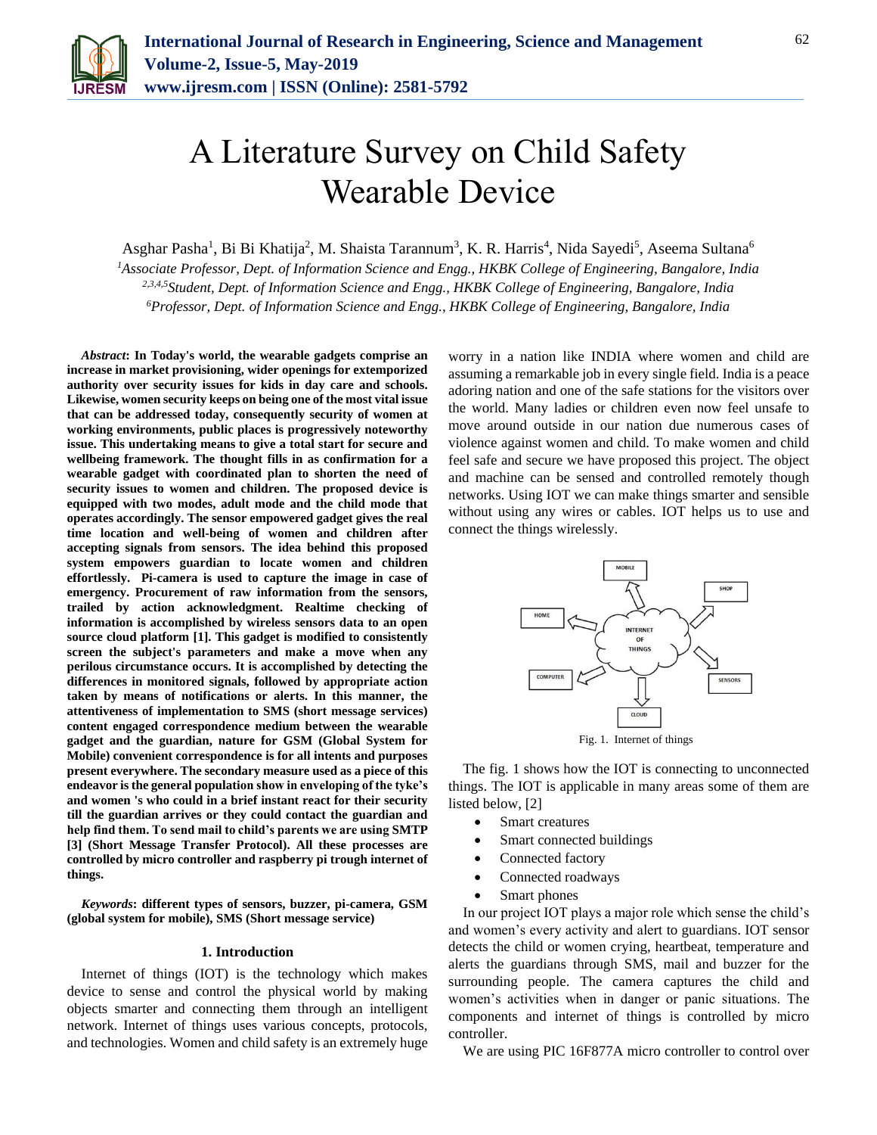

# A Literature Survey on Child Safety Wearable Device

Asghar Pasha<sup>1</sup>, Bi Bi Khatija<sup>2</sup>, M. Shaista Tarannum<sup>3</sup>, K. R. Harris<sup>4</sup>, Nida Sayedi<sup>5</sup>, Aseema Sultana<sup>6</sup>

*<sup>1</sup>Associate Professor, Dept. of Information Science and Engg., HKBK College of Engineering, Bangalore, India 2,3,4,5Student, Dept. of Information Science and Engg., HKBK College of Engineering, Bangalore, India <sup>6</sup>Professor, Dept. of Information Science and Engg., HKBK College of Engineering, Bangalore, India*

*Abstract***: In Today's world, the wearable gadgets comprise an increase in market provisioning, wider openings for extemporized authority over security issues for kids in day care and schools. Likewise, women security keeps on being one of the most vital issue that can be addressed today, consequently security of women at working environments, public places is progressively noteworthy issue. This undertaking means to give a total start for secure and wellbeing framework. The thought fills in as confirmation for a wearable gadget with coordinated plan to shorten the need of security issues to women and children. The proposed device is equipped with two modes, adult mode and the child mode that operates accordingly. The sensor empowered gadget gives the real time location and well-being of women and children after accepting signals from sensors. The idea behind this proposed system empowers guardian to locate women and children effortlessly. Pi-camera is used to capture the image in case of emergency. Procurement of raw information from the sensors, trailed by action acknowledgment. Realtime checking of information is accomplished by wireless sensors data to an open source cloud platform [1]. This gadget is modified to consistently screen the subject's parameters and make a move when any perilous circumstance occurs. It is accomplished by detecting the differences in monitored signals, followed by appropriate action taken by means of notifications or alerts. In this manner, the attentiveness of implementation to SMS (short message services) content engaged correspondence medium between the wearable gadget and the guardian, nature for GSM (Global System for Mobile) convenient correspondence is for all intents and purposes present everywhere. The secondary measure used as a piece of this endeavor is the general population show in enveloping of the tyke's and women 's who could in a brief instant react for their security till the guardian arrives or they could contact the guardian and help find them. To send mail to child's parents we are using SMTP [3] (Short Message Transfer Protocol). All these processes are controlled by micro controller and raspberry pi trough internet of things.**

*Keywords***: different types of sensors, buzzer, pi-camera, GSM (global system for mobile), SMS (Short message service)**

#### **1. Introduction**

Internet of things (IOT) is the technology which makes device to sense and control the physical world by making objects smarter and connecting them through an intelligent network. Internet of things uses various concepts, protocols, and technologies. Women and child safety is an extremely huge worry in a nation like INDIA where women and child are assuming a remarkable job in every single field. India is a peace adoring nation and one of the safe stations for the visitors over the world. Many ladies or children even now feel unsafe to move around outside in our nation due numerous cases of violence against women and child. To make women and child feel safe and secure we have proposed this project. The object and machine can be sensed and controlled remotely though networks. Using IOT we can make things smarter and sensible without using any wires or cables. IOT helps us to use and connect the things wirelessly.



The fig. 1 shows how the IOT is connecting to unconnected things. The IOT is applicable in many areas some of them are listed below, [2]

- Smart creatures
- Smart connected buildings
- Connected factory
- Connected roadways
- Smart phones

In our project IOT plays a major role which sense the child's and women's every activity and alert to guardians. IOT sensor detects the child or women crying, heartbeat, temperature and alerts the guardians through SMS, mail and buzzer for the surrounding people. The camera captures the child and women's activities when in danger or panic situations. The components and internet of things is controlled by micro controller.

We are using PIC 16F877A micro controller to control over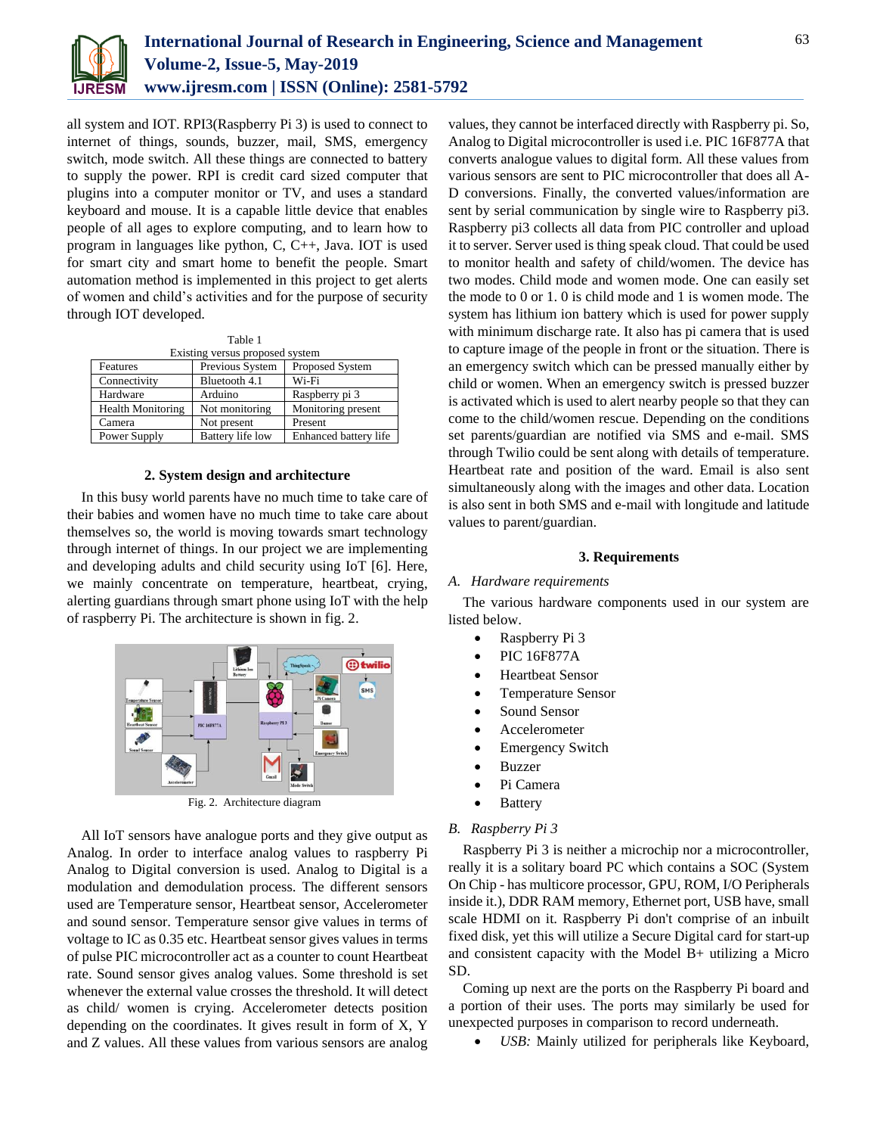

all system and IOT. RPI3(Raspberry Pi 3) is used to connect to internet of things, sounds, buzzer, mail, SMS, emergency switch, mode switch. All these things are connected to battery to supply the power. RPI is credit card sized computer that plugins into a computer monitor or TV, and uses a standard keyboard and mouse. It is a capable little device that enables people of all ages to explore computing, and to learn how to program in languages like python, C, C++, Java. IOT is used for smart city and smart home to benefit the people. Smart automation method is implemented in this project to get alerts of women and child's activities and for the purpose of security through IOT developed.

| Table 1                         |                  |                       |
|---------------------------------|------------------|-----------------------|
| Existing versus proposed system |                  |                       |
| Features                        | Previous System  | Proposed System       |
| Connectivity                    | Bluetooth 4.1    | Wi-Fi                 |
| Hardware                        | Arduino          | Raspberry pi 3        |
| <b>Health Monitoring</b>        | Not monitoring   | Monitoring present    |
| Camera                          | Not present      | Present               |
| Power Supply                    | Battery life low | Enhanced battery life |

#### **2. System design and architecture**

In this busy world parents have no much time to take care of their babies and women have no much time to take care about themselves so, the world is moving towards smart technology through internet of things. In our project we are implementing and developing adults and child security using IoT [6]. Here, we mainly concentrate on temperature, heartbeat, crying, alerting guardians through smart phone using IoT with the help of raspberry Pi. The architecture is shown in fig. 2.



Fig. 2. Architecture diagram

All IoT sensors have analogue ports and they give output as Analog. In order to interface analog values to raspberry Pi Analog to Digital conversion is used. Analog to Digital is a modulation and demodulation process. The different sensors used are Temperature sensor, Heartbeat sensor, Accelerometer and sound sensor. Temperature sensor give values in terms of voltage to IC as 0.35 etc. Heartbeat sensor gives values in terms of pulse PIC microcontroller act as a counter to count Heartbeat rate. Sound sensor gives analog values. Some threshold is set whenever the external value crosses the threshold. It will detect as child/ women is crying. Accelerometer detects position depending on the coordinates. It gives result in form of X, Y and Z values. All these values from various sensors are analog

values, they cannot be interfaced directly with Raspberry pi. So, Analog to Digital microcontroller is used i.e. PIC 16F877A that converts analogue values to digital form. All these values from various sensors are sent to PIC microcontroller that does all A-D conversions. Finally, the converted values/information are sent by serial communication by single wire to Raspberry pi3. Raspberry pi3 collects all data from PIC controller and upload it to server. Server used is thing speak cloud. That could be used to monitor health and safety of child/women. The device has two modes. Child mode and women mode. One can easily set the mode to 0 or 1. 0 is child mode and 1 is women mode. The system has lithium ion battery which is used for power supply with minimum discharge rate. It also has pi camera that is used to capture image of the people in front or the situation. There is an emergency switch which can be pressed manually either by child or women. When an emergency switch is pressed buzzer is activated which is used to alert nearby people so that they can come to the child/women rescue. Depending on the conditions set parents/guardian are notified via SMS and e-mail. SMS through Twilio could be sent along with details of temperature. Heartbeat rate and position of the ward. Email is also sent simultaneously along with the images and other data. Location is also sent in both SMS and e-mail with longitude and latitude values to parent/guardian.

#### **3. Requirements**

#### *A. Hardware requirements*

The various hardware components used in our system are listed below.

- Raspberry Pi 3
- PIC 16F877A
- Heartbeat Sensor
- Temperature Sensor
- Sound Sensor
- Accelerometer
- Emergency Switch
- Buzzer
- Pi Camera
- Battery

#### *B. Raspberry Pi 3*

Raspberry Pi 3 is neither a microchip nor a microcontroller, really it is a solitary board PC which contains a SOC (System On Chip - has multicore processor, GPU, ROM, I/O Peripherals inside it.), DDR RAM memory, Ethernet port, USB have, small scale HDMI on it. Raspberry Pi don't comprise of an inbuilt fixed disk, yet this will utilize a Secure Digital card for start-up and consistent capacity with the Model B+ utilizing a Micro SD.

Coming up next are the ports on the Raspberry Pi board and a portion of their uses. The ports may similarly be used for unexpected purposes in comparison to record underneath.

*USB:* Mainly utilized for peripherals like Keyboard,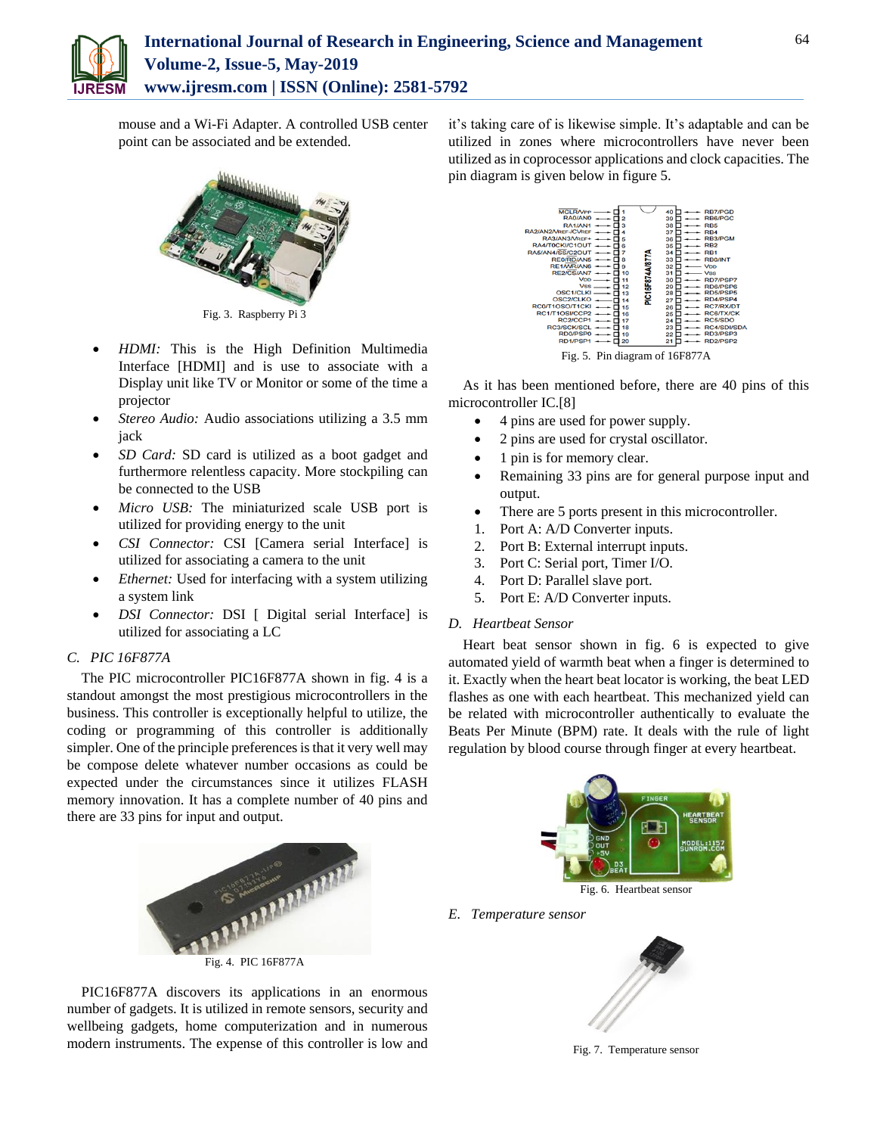

mouse and a Wi-Fi Adapter. A controlled USB center point can be associated and be extended.



Fig. 3. Raspberry Pi 3

- *HDMI:* This is the High Definition Multimedia Interface [HDMI] and is use to associate with a Display unit like TV or Monitor or some of the time a projector
- *Stereo Audio:* Audio associations utilizing a 3.5 mm jack
- *SD Card:* SD card is utilized as a boot gadget and furthermore relentless capacity. More stockpiling can be connected to the USB
- *Micro USB:* The miniaturized scale USB port is utilized for providing energy to the unit
- *CSI Connector:* CSI [Camera serial Interface] is utilized for associating a camera to the unit
- *Ethernet:* Used for interfacing with a system utilizing a system link
- *DSI Connector:* DSI [ Digital serial Interface] is utilized for associating a LC

## *C. PIC 16F877A*

The PIC microcontroller PIC16F877A shown in fig. 4 is a standout amongst the most prestigious microcontrollers in the business. This controller is exceptionally helpful to utilize, the coding or programming of this controller is additionally simpler. One of the principle preferences is that it very well may be compose delete whatever number occasions as could be expected under the circumstances since it utilizes FLASH memory innovation. It has a complete number of 40 pins and there are 33 pins for input and output.



PIC16F877A discovers its applications in an enormous number of gadgets. It is utilized in remote sensors, security and wellbeing gadgets, home computerization and in numerous modern instruments. The expense of this controller is low and

it's taking care of is likewise simple. It's adaptable and can be utilized in zones where microcontrollers have never been utilized as in coprocessor applications and clock capacities. The pin diagram is given below in figure 5.



Fig. 5. Pin diagram of 16F877A

As it has been mentioned before, there are 40 pins of this microcontroller IC.[8]

- 4 pins are used for power supply.
- 2 pins are used for crystal oscillator.
- 1 pin is for memory clear.
- Remaining 33 pins are for general purpose input and output.
- There are 5 ports present in this microcontroller.
- 1. Port A: A/D Converter inputs.
- 2. Port B: External interrupt inputs.
- 3. Port C: Serial port, Timer I/O.
- 4. Port D: Parallel slave port.
- 5. Port E: A/D Converter inputs.

## *D. Heartbeat Sensor*

Heart beat sensor shown in fig. 6 is expected to give automated yield of warmth beat when a finger is determined to it. Exactly when the heart beat locator is working, the beat LED flashes as one with each heartbeat. This mechanized yield can be related with microcontroller authentically to evaluate the Beats Per Minute (BPM) rate. It deals with the rule of light regulation by blood course through finger at every heartbeat.



Fig. 6. Heartbeat sensor

*E. Temperature sensor*



Fig. 7. Temperature sensor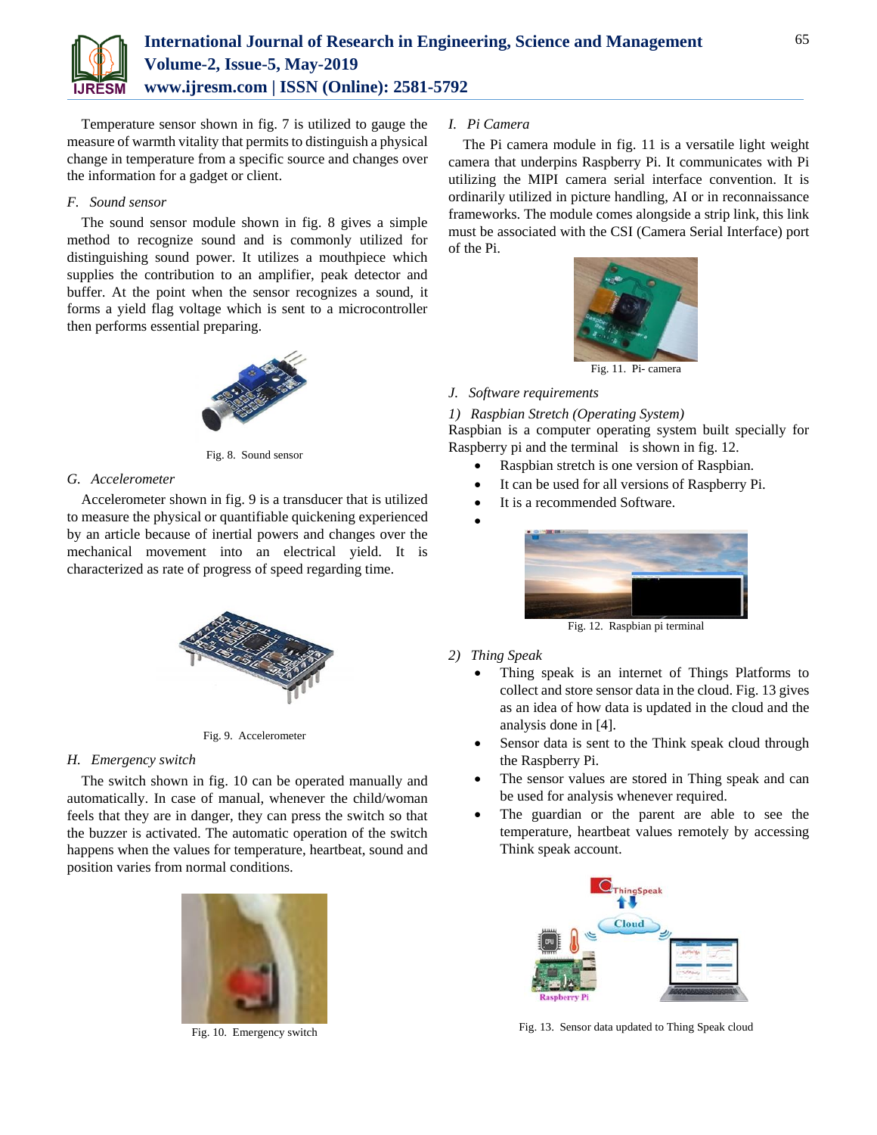

Temperature sensor shown in fig. 7 is utilized to gauge the measure of warmth vitality that permits to distinguish a physical change in temperature from a specific source and changes over the information for a gadget or client.

#### *F. Sound sensor*

The sound sensor module shown in fig. 8 gives a simple method to recognize sound and is commonly utilized for distinguishing sound power. It utilizes a mouthpiece which supplies the contribution to an amplifier, peak detector and buffer. At the point when the sensor recognizes a sound, it forms a yield flag voltage which is sent to a microcontroller then performs essential preparing.



Fig. 8. Sound sensor

## *G. Accelerometer*

Accelerometer shown in fig. 9 is a transducer that is utilized to measure the physical or quantifiable quickening experienced by an article because of inertial powers and changes over the mechanical movement into an electrical yield. It is characterized as rate of progress of speed regarding time.



Fig. 9. Accelerometer

## *H. Emergency switch*

The switch shown in fig. 10 can be operated manually and automatically. In case of manual, whenever the child/woman feels that they are in danger, they can press the switch so that the buzzer is activated. The automatic operation of the switch happens when the values for temperature, heartbeat, sound and position varies from normal conditions.



Fig. 10. Emergency switch

## *I. Pi Camera*

The Pi camera module in fig. 11 is a versatile light weight camera that underpins Raspberry Pi. It communicates with Pi utilizing the MIPI camera serial interface convention. It is ordinarily utilized in picture handling, AI or in reconnaissance frameworks. The module comes alongside a strip link, this link must be associated with the CSI (Camera Serial Interface) port of the Pi.



*J. Software requirements*

*1) Raspbian Stretch (Operating System)*

Raspbian is a computer operating system built specially for Raspberry pi and the terminal is shown in fig. 12.

- Raspbian stretch is one version of Raspbian.
- It can be used for all versions of Raspberry Pi.
- It is a recommended Software.





Fig. 12. Raspbian pi terminal

- *2) Thing Speak*
	- Thing speak is an internet of Things Platforms to collect and store sensor data in the cloud. Fig. 13 gives as an idea of how data is updated in the cloud and the analysis done in [4].
	- Sensor data is sent to the Think speak cloud through the Raspberry Pi.
	- The sensor values are stored in Thing speak and can be used for analysis whenever required.
	- The guardian or the parent are able to see the temperature, heartbeat values remotely by accessing Think speak account.



Fig. 13. Sensor data updated to Thing Speak cloud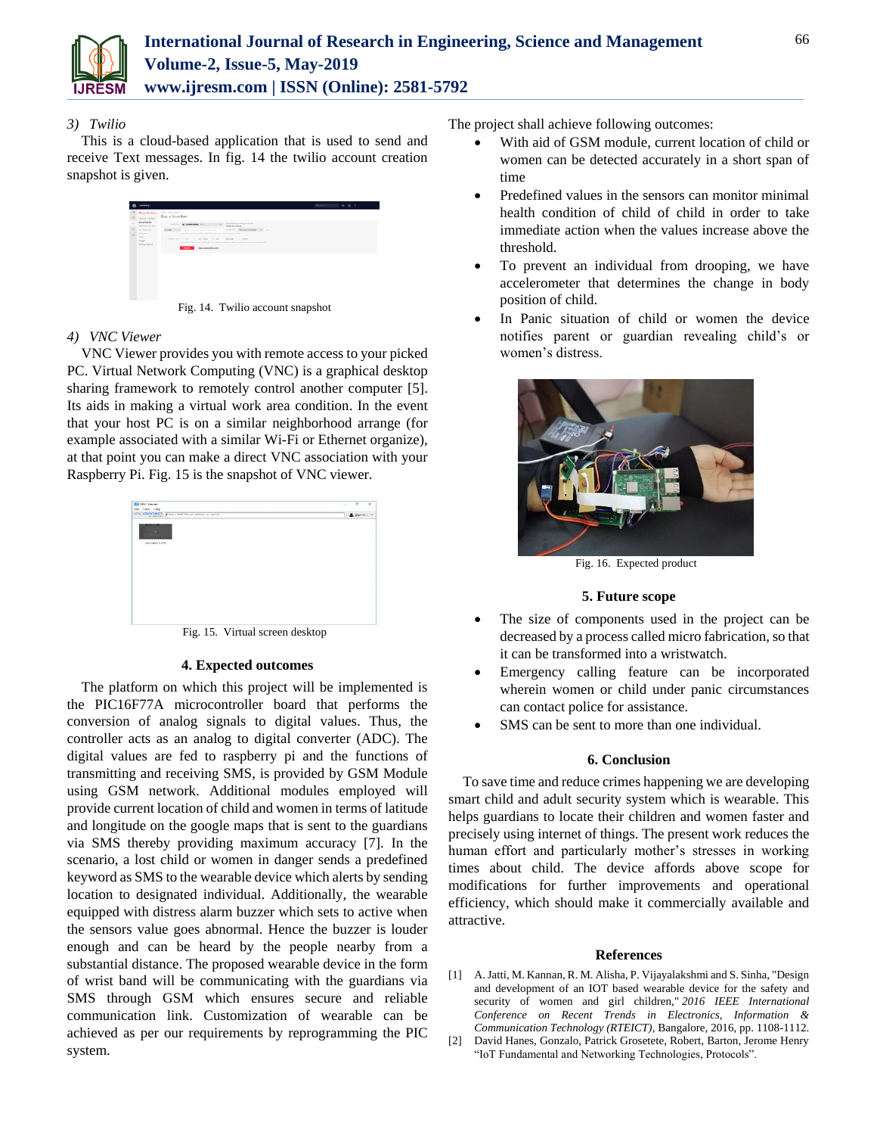

# *3) Twilio*

This is a cloud-based application that is used to send and receive Text messages. In fig. 14 the twilio account creation snapshot is given.



Fig. 14. Twilio account snapshot

# *4) VNC Viewer*

VNC Viewer provides you with remote access to your picked PC. Virtual Network Computing (VNC) is a graphical desktop sharing framework to remotely control another computer [5]. Its aids in making a virtual work area condition. In the event that your host PC is on a similar neighborhood arrange (for example associated with a similar Wi-Fi or Ethernet organize), at that point you can make a direct VNC association with your Raspberry Pi. Fig. 15 is the snapshot of VNC viewer.



Fig. 15. Virtual screen desktop

## **4. Expected outcomes**

The platform on which this project will be implemented is the PIC16F77A microcontroller board that performs the conversion of analog signals to digital values. Thus, the controller acts as an analog to digital converter (ADC). The digital values are fed to raspberry pi and the functions of transmitting and receiving SMS, is provided by GSM Module using GSM network. Additional modules employed will provide current location of child and women in terms of latitude and longitude on the google maps that is sent to the guardians via SMS thereby providing maximum accuracy [7]. In the scenario, a lost child or women in danger sends a predefined keyword as SMS to the wearable device which alerts by sending location to designated individual. Additionally, the wearable equipped with distress alarm buzzer which sets to active when the sensors value goes abnormal. Hence the buzzer is louder enough and can be heard by the people nearby from a substantial distance. The proposed wearable device in the form of wrist band will be communicating with the guardians via SMS through GSM which ensures secure and reliable communication link. Customization of wearable can be achieved as per our requirements by reprogramming the PIC system.

The project shall achieve following outcomes:

- With aid of GSM module, current location of child or women can be detected accurately in a short span of time
- Predefined values in the sensors can monitor minimal health condition of child of child in order to take immediate action when the values increase above the threshold.
- To prevent an individual from drooping, we have accelerometer that determines the change in body position of child.
- In Panic situation of child or women the device notifies parent or guardian revealing child's or women's distress.



Fig. 16. Expected product

## **5. Future scope**

- The size of components used in the project can be decreased by a process called micro fabrication, so that it can be transformed into a wristwatch.
- Emergency calling feature can be incorporated wherein women or child under panic circumstances can contact police for assistance.
- SMS can be sent to more than one individual.

#### **6. Conclusion**

To save time and reduce crimes happening we are developing smart child and adult security system which is wearable. This helps guardians to locate their children and women faster and precisely using internet of things. The present work reduces the human effort and particularly mother's stresses in working times about child. The device affords above scope for modifications for further improvements and operational efficiency, which should make it commercially available and attractive.

#### **References**

- [1] A. Jatti, M. Kannan, R. M. Alisha, P. Vijayalakshmi and S. Sinha, "Design and development of an IOT based wearable device for the safety and security of women and girl children," *2016 IEEE International Conference on Recent Trends in Electronics, Information & Communication Technology (RTEICT)*, Bangalore, 2016, pp. 1108-1112.
- [2] David Hanes, Gonzalo, Patrick Grosetete, Robert, Barton, Jerome Henry "IoT Fundamental and Networking Technologies, Protocols".